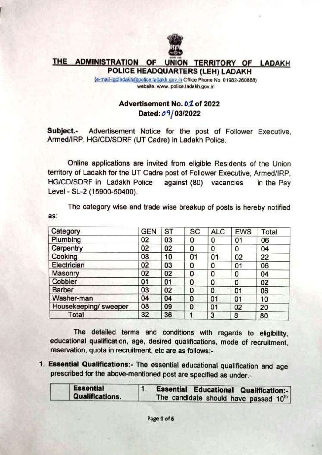

## **THE ADMINISTRATION OF** UNION TERRITORY OF LADAKH POLICE HEADQUARTERS (LEH) LADAKH

(e-mail-igpladakh@police.ladakh.gov.in Office Phone No. 01982-260888) website: www. police.ladakh.gov.in

## Advertisement No. 01 of 2022 Dated: 09/03/2022

Subject.-Advertisement Notice for the post of Follower Executive. Armed/IRP, HG/CD/SDRF (UT Cadre) in Ladakh Police.

Online applications are invited from eligible Residents of the Union territory of Ladakh for the UT Cadre post of Follower Executive. Armed/IRP. HG/CD/SDRF in Ladakh Police against (80) vacancies in the Pay Level - SL-2 (15900-50400).

The category wise and trade wise breakup of posts is hereby notified as:

| Category              | <b>GEN</b> | <b>ST</b> | SC | <b>ALC</b> | <b>EWS</b> | Total |
|-----------------------|------------|-----------|----|------------|------------|-------|
| Plumbing              | 02         | 03        | 0  | 0          | 01         | 06    |
| Carpentry             | 02         | 02        | 0  | 0          | 0          | 04    |
| Cooking               | 08         | 10        | 01 | 01         | 02         | 22    |
| Electrician           | 02         | 03        | 0  | 0          | 01         | 06    |
| Masonry               | 02         | 02        | 0  | 0          | 0          | 04    |
| Cobbler               | 01         | 01        | 0  | 0          | 0          | 02    |
| <b>Barber</b>         | 03         | 02        | 0  | 0          | 01         | 06    |
| Washer-man            | 04         | 04        | 0  | 01         | 01         | 10    |
| Housekeeping/ sweeper | 08         | 09        | 0  | 01         | 02         | 20    |
| Total                 | 32         | 36        | 1  | 3          | 8          | 80    |

The detailed terms and conditions with regards to eligibility, educational qualification, age, desired qualifications, mode of recruitment, reservation, quota in recruitment, etc are as follows:-

1. Essential Qualifications:- The essential educational qualification and age prescribed for the above-mentioned post are specified as under.-

|  | <b>Essential</b><br><b>Qualifications.</b> | <b>Essential Educational Qualification:-</b> |  |  |  |  |
|--|--------------------------------------------|----------------------------------------------|--|--|--|--|
|  |                                            | The candidate should have passed 10th        |  |  |  |  |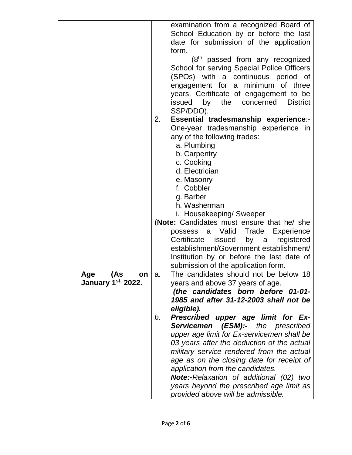|                                        | examination from a recognized Board of<br>School Education by or before the last<br>date for submission of the application                                                                                                                                                                                          |
|----------------------------------------|---------------------------------------------------------------------------------------------------------------------------------------------------------------------------------------------------------------------------------------------------------------------------------------------------------------------|
|                                        |                                                                                                                                                                                                                                                                                                                     |
|                                        |                                                                                                                                                                                                                                                                                                                     |
|                                        |                                                                                                                                                                                                                                                                                                                     |
|                                        | form.                                                                                                                                                                                                                                                                                                               |
|                                        | $(8th$ passed from any recognized                                                                                                                                                                                                                                                                                   |
|                                        | School for serving Special Police Officers                                                                                                                                                                                                                                                                          |
|                                        | (SPOs) with a continuous period of                                                                                                                                                                                                                                                                                  |
|                                        | engagement for a minimum of three                                                                                                                                                                                                                                                                                   |
|                                        | years. Certificate of engagement to be                                                                                                                                                                                                                                                                              |
|                                        | the<br>concerned<br>issued<br>by<br><b>District</b>                                                                                                                                                                                                                                                                 |
|                                        |                                                                                                                                                                                                                                                                                                                     |
|                                        | SSP/DDO).                                                                                                                                                                                                                                                                                                           |
|                                        | Essential tradesmanship experience:-<br>2.                                                                                                                                                                                                                                                                          |
|                                        | One-year tradesmanship experience in                                                                                                                                                                                                                                                                                |
|                                        | any of the following trades:                                                                                                                                                                                                                                                                                        |
|                                        | a. Plumbing                                                                                                                                                                                                                                                                                                         |
|                                        | b. Carpentry                                                                                                                                                                                                                                                                                                        |
|                                        | c. Cooking                                                                                                                                                                                                                                                                                                          |
|                                        | d. Electrician                                                                                                                                                                                                                                                                                                      |
|                                        | e. Masonry                                                                                                                                                                                                                                                                                                          |
|                                        | f. Cobbler                                                                                                                                                                                                                                                                                                          |
|                                        |                                                                                                                                                                                                                                                                                                                     |
|                                        | g. Barber                                                                                                                                                                                                                                                                                                           |
|                                        | h. Washerman                                                                                                                                                                                                                                                                                                        |
|                                        | i. Housekeeping/ Sweeper                                                                                                                                                                                                                                                                                            |
|                                        | (Note: Candidates must ensure that he/ she                                                                                                                                                                                                                                                                          |
|                                        | Valid Trade Experience<br>possess a                                                                                                                                                                                                                                                                                 |
|                                        | Certificate<br>issued<br>by<br>registered<br>a                                                                                                                                                                                                                                                                      |
|                                        | establishment/Government establishment/                                                                                                                                                                                                                                                                             |
|                                        | Institution by or before the last date of                                                                                                                                                                                                                                                                           |
|                                        | submission of the application form.                                                                                                                                                                                                                                                                                 |
|                                        |                                                                                                                                                                                                                                                                                                                     |
|                                        |                                                                                                                                                                                                                                                                                                                     |
|                                        |                                                                                                                                                                                                                                                                                                                     |
|                                        |                                                                                                                                                                                                                                                                                                                     |
|                                        |                                                                                                                                                                                                                                                                                                                     |
|                                        |                                                                                                                                                                                                                                                                                                                     |
|                                        |                                                                                                                                                                                                                                                                                                                     |
|                                        |                                                                                                                                                                                                                                                                                                                     |
|                                        |                                                                                                                                                                                                                                                                                                                     |
|                                        | 03 years after the deduction of the actual                                                                                                                                                                                                                                                                          |
|                                        | military service rendered from the actual                                                                                                                                                                                                                                                                           |
|                                        | age as on the closing date for receipt of                                                                                                                                                                                                                                                                           |
|                                        | application from the candidates.                                                                                                                                                                                                                                                                                    |
|                                        |                                                                                                                                                                                                                                                                                                                     |
|                                        |                                                                                                                                                                                                                                                                                                                     |
|                                        | <b>Note:-Relaxation of additional (02) two</b><br>years beyond the prescribed age limit as                                                                                                                                                                                                                          |
| (As<br>Age<br>on<br>January 1st, 2022. | The candidates should not be below 18<br>a.<br>years and above 37 years of age.<br>(the candidates born before 01-01-<br>1985 and after 31-12-2003 shall not be<br>eligible).<br>Prescribed upper age limit for Ex-<br>b.<br><b>Servicemen (ESM):-</b> the prescribed<br>upper age limit for Ex-servicemen shall be |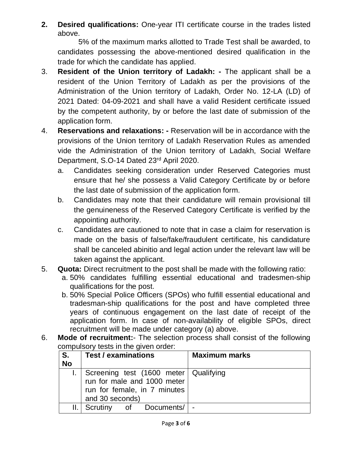**2. Desired qualifications:** One-year ITI certificate course in the trades listed above.

5% of the maximum marks allotted to Trade Test shall be awarded, to candidates possessing the above-mentioned desired qualification in the trade for which the candidate has applied.

- 3. **Resident of the Union territory of Ladakh: -** The applicant shall be a resident of the Union Territory of Ladakh as per the provisions of the Administration of the Union territory of Ladakh, Order No. 12-LA (LD) of 2021 Dated: 04-09-2021 and shall have a valid Resident certificate issued by the competent authority, by or before the last date of submission of the application form.
- 4. **Reservations and relaxations: -** Reservation will be in accordance with the provisions of the Union territory of Ladakh Reservation Rules as amended vide the Administration of the Union territory of Ladakh, Social Welfare Department, S.O-14 Dated 23<sup>rd</sup> April 2020.
	- a. Candidates seeking consideration under Reserved Categories must ensure that he/ she possess a Valid Category Certificate by or before the last date of submission of the application form.
	- b. Candidates may note that their candidature will remain provisional till the genuineness of the Reserved Category Certificate is verified by the appointing authority.
	- c. Candidates are cautioned to note that in case a claim for reservation is made on the basis of false/fake/fraudulent certificate, his candidature shall be canceled abinitio and legal action under the relevant law will be taken against the applicant.
- 5. **Quota:** Direct recruitment to the post shall be made with the following ratio:
	- a. 50% candidates fulfilling essential educational and tradesmen-ship qualifications for the post.
	- b. 50% Special Police Officers (SPOs) who fulfill essential educational and tradesman-ship qualifications for the post and have completed three years of continuous engagement on the last date of receipt of the application form. In case of non-availability of eligible SPOs, direct recruitment will be made under category (a) above.
- 6. **Mode of recruitment:** The selection process shall consist of the following compulsory tests in the given order:

| S <sub>1</sub><br><b>No</b> | <b>Test / examinations</b>              | <b>Maximum marks</b> |
|-----------------------------|-----------------------------------------|----------------------|
|                             |                                         |                      |
|                             | Screening test (1600 meter   Qualifying |                      |
|                             | run for male and 1000 meter             |                      |
|                             | run for female, in 7 minutes            |                      |
|                             | and 30 seconds)                         |                      |
|                             | Scrutiny<br>of Documents/               | -                    |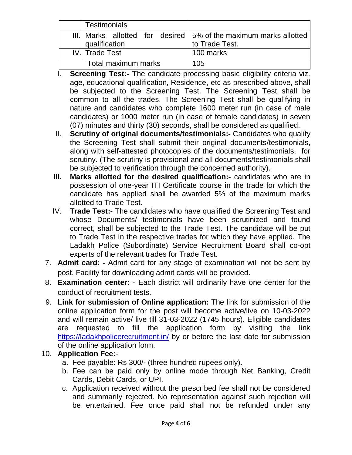|      | Testimonials        |                                                                  |
|------|---------------------|------------------------------------------------------------------|
|      |                     | III. Marks allotted for desired 5% of the maximum marks allotted |
|      | qualification       | to Trade Test.                                                   |
| IV I | <b>Trade Test</b>   | 100 marks                                                        |
|      | Total maximum marks | 105                                                              |

- I. **Screening Test:-** The candidate processing basic eligibility criteria viz. age, educational qualification, Residence, etc as prescribed above, shall be subjected to the Screening Test. The Screening Test shall be common to all the trades. The Screening Test shall be qualifying in nature and candidates who complete 1600 meter run (in case of male candidates) or 1000 meter run (in case of female candidates) in seven (07) minutes and thirty (30) seconds, shall be considered as qualified.
- II. **Scrutiny of original documents/testimonials:-** Candidates who qualify the Screening Test shall submit their original documents/testimonials, along with self-attested photocopies of the documents/testimonials, for scrutiny. (The scrutiny is provisional and all documents/testimonials shall be subjected to verification through the concerned authority).
- **III. Marks allotted for the desired qualification:-** candidates who are in possession of one-year ITI Certificate course in the trade for which the candidate has applied shall be awarded 5% of the maximum marks allotted to Trade Test.
- IV. **Trade Test:** The candidates who have qualified the Screening Test and whose Documents/ testimonials have been scrutinized and found correct, shall be subjected to the Trade Test. The candidate will be put to Trade Test in the respective trades for which they have applied. The Ladakh Police (Subordinate) Service Recruitment Board shall co-opt experts of the relevant trades for Trade Test.
- 7. **Admit card: -** Admit card for any stage of examination will not be sent by post. Facility for downloading admit cards will be provided.
- 8. **Examination center:** Each district will ordinarily have one center for the conduct of recruitment tests.
- 9. **Link for submission of Online application:** The link for submission of the online application form for the post will become active/live on 10-03-2022 and will remain active/ live till 31-03-2022 (1745 hours). Eligible candidates are requested to fill the application form by visiting the link <https://ladakhpolicerecruitment.in/> by or before the last date for submission of the online application form.

## 10. **Application Fee:**-

- a. Fee payable: Rs 300/- (three hundred rupees only).
- b. Fee can be paid only by online mode through Net Banking, Credit Cards, Debit Cards, or UPI.
- c. Application received without the prescribed fee shall not be considered and summarily rejected. No representation against such rejection will be entertained. Fee once paid shall not be refunded under any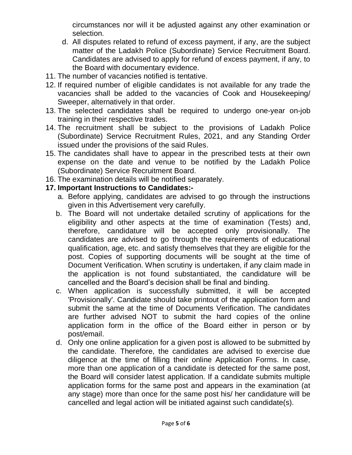circumstances nor will it be adjusted against any other examination or selection.

- d. All disputes related to refund of excess payment, if any, are the subject matter of the Ladakh Police (Subordinate) Service Recruitment Board. Candidates are advised to apply for refund of excess payment, if any, to the Board with documentary evidence.
- 11. The number of vacancies notified is tentative.
- 12. If required number of eligible candidates is not available for any trade the vacancies shall be added to the vacancies of Cook and Housekeeping/ Sweeper, alternatively in that order.
- 13. The selected candidates shall be required to undergo one-year on-job training in their respective trades.
- 14. The recruitment shall be subject to the provisions of Ladakh Police (Subordinate) Service Recruitment Rules, 2021, and any Standing Order issued under the provisions of the said Rules.
- 15. The candidates shall have to appear in the prescribed tests at their own expense on the date and venue to be notified by the Ladakh Police (Subordinate) Service Recruitment Board.
- 16. The examination details will be notified separately.

## **17. Important Instructions to Candidates:-**

- a. Before applying, candidates are advised to go through the instructions given in this Advertisement very carefully.
- b. The Board will not undertake detailed scrutiny of applications for the eligibility and other aspects at the time of examination (Tests) and, therefore, candidature will be accepted only provisionally. The candidates are advised to go through the requirements of educational qualification, age, etc. and satisfy themselves that they are eligible for the post. Copies of supporting documents will be sought at the time of Document Verification. When scrutiny is undertaken, if any claim made in the application is not found substantiated, the candidature will be cancelled and the Board's decision shall be final and binding.
- c. When application is successfully submitted, it will be accepted 'Provisionally'. Candidate should take printout of the application form and submit the same at the time of Documents Verification. The candidates are further advised NOT to submit the hard copies of the online application form in the office of the Board either in person or by post/email.
- d. Only one online application for a given post is allowed to be submitted by the candidate. Therefore, the candidates are advised to exercise due diligence at the time of filling their online Application Forms. In case, more than one application of a candidate is detected for the same post, the Board will consider latest application. If a candidate submits multiple application forms for the same post and appears in the examination (at any stage) more than once for the same post his/ her candidature will be cancelled and legal action will be initiated against such candidate(s).